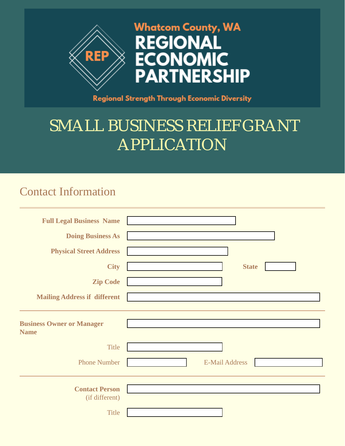

## **Regional Strength Through Economic Diversity**

## SMALL BUSINESS RELIEF GRANT APPLICATION

## Contact Information

| <b>Full Legal Business Name</b>                         |                                      |
|---------------------------------------------------------|--------------------------------------|
| <b>Doing Business As</b>                                |                                      |
| <b>Physical Street Address</b>                          |                                      |
| <b>City</b>                                             | <b>State</b><br>$\blacktriangledown$ |
| <b>Zip Code</b>                                         |                                      |
| <b>Mailing Address if different</b>                     |                                      |
| <b>Business Owner or Manager</b><br><b>Name</b>         |                                      |
| <b>Title</b>                                            |                                      |
| <b>Phone Number</b>                                     | <b>E-Mail Address</b>                |
| <b>Contact Person</b><br>(if different)<br><b>Title</b> |                                      |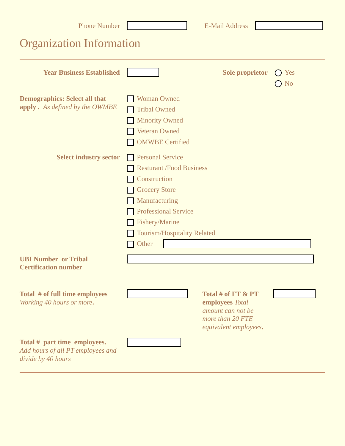| <b>Phone Number</b>                                                                     |                                                                                                                      |                                                                                                      | <b>E-Mail Address</b>                                                                                     |  |                      |
|-----------------------------------------------------------------------------------------|----------------------------------------------------------------------------------------------------------------------|------------------------------------------------------------------------------------------------------|-----------------------------------------------------------------------------------------------------------|--|----------------------|
| <b>Organization Information</b>                                                         |                                                                                                                      |                                                                                                      |                                                                                                           |  |                      |
| <b>Year Business Established</b>                                                        |                                                                                                                      |                                                                                                      | <b>Sole proprietor</b>                                                                                    |  | Yes<br>$\bigcirc$ No |
| <b>Demographics: Select all that</b><br><b>apply</b> . As defined by the OWMBE          | <b>Woman Owned</b><br><b>Tribal Owned</b><br><b>Minority Owned</b><br><b>Veteran Owned</b><br><b>OMWBE</b> Certified |                                                                                                      |                                                                                                           |  |                      |
| <b>Select industry sector</b>                                                           | <b>Personal Service</b><br>Construction<br><b>Grocery Store</b><br>Manufacturing<br>Fishery/Marine<br>Other          | <b>Resturant /Food Business</b><br><b>Professional Service</b><br><b>Tourism/Hospitality Related</b> |                                                                                                           |  |                      |
| <b>UBI Number or Tribal</b><br><b>Certification number</b>                              |                                                                                                                      |                                                                                                      |                                                                                                           |  |                      |
| Total # of full time employees<br>Working 40 hours or more.                             |                                                                                                                      |                                                                                                      | Total # of $FT & PT$<br>employees Total<br>amount can not be<br>more than 20 FTE<br>equivalent employees. |  |                      |
| Total # part time employees.<br>Add hours of all PT employees and<br>divide by 40 hours |                                                                                                                      |                                                                                                      |                                                                                                           |  |                      |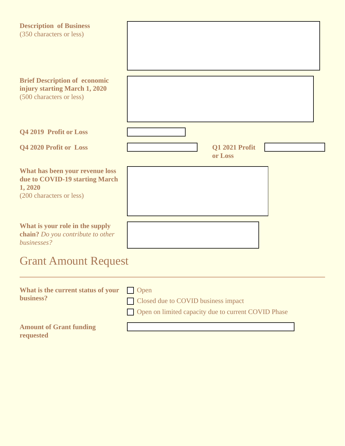| <b>Description of Business</b><br>(350 characters or less)                                               |                                                                                                    |  |  |
|----------------------------------------------------------------------------------------------------------|----------------------------------------------------------------------------------------------------|--|--|
| <b>Brief Description of economic</b><br>injury starting March 1, 2020<br>(500 characters or less)        |                                                                                                    |  |  |
| Q4 2019 Profit or Loss                                                                                   |                                                                                                    |  |  |
| Q4 2020 Profit or Loss                                                                                   | Q1 2021 Profit<br>or Loss                                                                          |  |  |
| What has been your revenue loss<br>due to COVID-19 starting March<br>1, 2020<br>(200 characters or less) |                                                                                                    |  |  |
| What is your role in the supply<br>chain? Do you contribute to other<br>businesses?                      |                                                                                                    |  |  |
| <b>Grant Amount Request</b>                                                                              |                                                                                                    |  |  |
| What is the current status of your<br>business?                                                          | Open<br>Closed due to COVID business impact<br>Open on limited capacity due to current COVID Phase |  |  |
| <b>Amount of Grant funding</b><br>requested                                                              |                                                                                                    |  |  |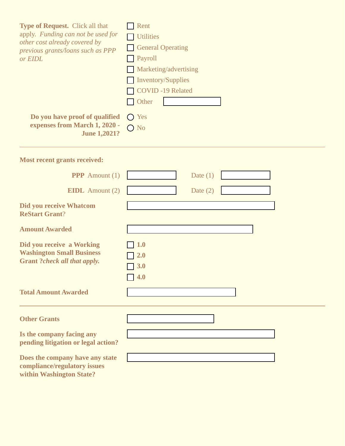| Type of Request. Click all that<br>apply. Funding can not be used for<br>other cost already covered by<br>previous grants/loans such as PPP<br>or EIDL | Rent<br><b>Utilities</b><br><b>General Operating</b><br>Payroll<br>Marketing/advertising<br><b>Inventory/Supplies</b><br><b>COVID-19 Related</b><br>Other |
|--------------------------------------------------------------------------------------------------------------------------------------------------------|-----------------------------------------------------------------------------------------------------------------------------------------------------------|
| Do you have proof of qualified<br>expenses from March 1, 2020 -<br><b>June 1,2021?</b>                                                                 | $\bigcap$ Yes<br>$\bigcirc$ No                                                                                                                            |
| <b>Most recent grants received:</b>                                                                                                                    |                                                                                                                                                           |
| <b>PPP</b> Amount $(1)$                                                                                                                                | Date $(1)$                                                                                                                                                |
| <b>EIDL</b> Amount $(2)$                                                                                                                               | Date $(2)$                                                                                                                                                |
| <b>Did you receive Whatcom</b><br><b>ReStart Grant?</b>                                                                                                | $\blacktriangledown$                                                                                                                                      |
| <b>Amount Awarded</b>                                                                                                                                  |                                                                                                                                                           |
| Did you receive a Working<br><b>Washington Small Business</b><br><b>Grant ?check all that apply.</b>                                                   | <b>1.0</b><br>2.0<br>3.0<br>4.0                                                                                                                           |
| <b>Total Amount Awarded</b>                                                                                                                            |                                                                                                                                                           |
| <b>Other Grants</b>                                                                                                                                    |                                                                                                                                                           |
| Is the company facing any<br>pending litigation or legal action?                                                                                       | $\blacktriangledown$                                                                                                                                      |
| Does the company have any state<br>compliance/regulatory issues<br>within Washington State?                                                            | $\blacktriangledown$                                                                                                                                      |